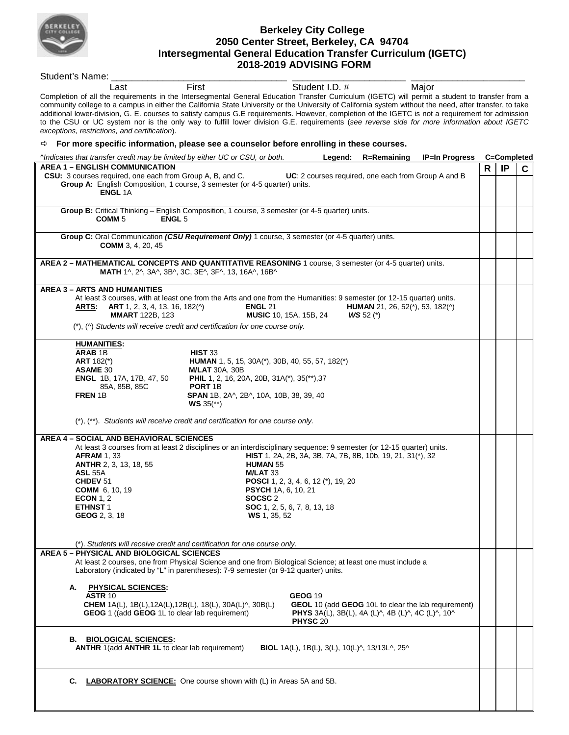

## **Berkeley City College 2050 Center Street, Berkeley, CA 94704 Intersegmental General Education Transfer Curriculum (IGETC) 2018-2019 ADVISING FORM**

Student's Name: Last First **First** Student I.D. # Major Completion of all the requirements in the Intersegmental General Education Transfer Curriculum (IGETC) will permit a student to transfer from a community college to a campus in either the California State University or the University of California system without the need, after transfer, to take additional lower-division, G. E. courses to satisfy campus G.E requirements. However, completion of the IGETC is not a requirement for admission to the CSU or UC system nor is the only way to fulfill lower division G.E. requirements (*see reverse side for more information about IGETC exceptions, restrictions, and certification*). **For more specific information, please see a counselor before enrolling in these courses.** *^Indicates that transfer credit may be limited by either UC or CSU, or both.* **Legend: R=Remaining IP=In Progress C=Completed AREA 1 – ENGLISH COMMUNICATION CSU:** 3 courses required, one each from Group A, B, and C. **UC**: 2 courses required, one each from Group A and B **Group A:** English Composition, 1 course, 3 semester (or 4-5 quarter) units. **ENGL** 1A **R IP C Group B:** Critical Thinking – English Composition, 1 course, 3 semester (or 4-5 quarter) units.<br> **COMM 5**<br> **COMM 5 ENGL** 5 **Group C:** Oral Communication *(CSU Requirement Only)* 1 course, 3 semester (or 4-5 quarter) units. **COMM** 3, 4, 20, 45 **AREA 2 – MATHEMATICAL CONCEPTS AND QUANTITATIVE REASONING** 1 course, 3 semester (or 4-5 quarter) units.  **MATH** 1^, 2^, 3A^, 3B^, 3C, 3E^, 3F^, 13, 16A^, 16B^ **AREA 3 – ARTS AND HUMANITIES** At least 3 courses, with at least one from the Arts and one from the Humanities: 9 semester (or 12-15 quarter) units.<br>**ARTS: ART** 1, 2, 3, 4, 13, 16, 182(^) **ENGL** 21 **HUMAN** 21, 26, 52(\*), 53, 182(^) **ARTS: ART** 1, 2, 3, 4, 13, 16, 182(^) **ENGL** 21 **HUMAN** 21, 26, 52(\*), 53, 182(^) **MMART** 122B. 123 **MUSIC** 10, 15A, 15B, 24 **WS** 52 (\*)  **MUSIC** 10, 15A, 15B, 24 (\*), (^) *Students will receive credit and certification for one course only.*   **HUMANITIES: ARAB 1B HIST 33**<br>**ART 182(\*) HUMAN ART** 182(\*) **HUMAN** 1, 5, 15, 30A(\*), 30B, 40, 55, 57, 182(\*) **ASAME** 30<br>**ENGL** 1B, 17A, 17B, 47, 50 **PHIL** 1, 2, 16, 20 **PHIL** 1, 2, 16, 20A, 20B, 31A(\*), 35(\*\*),37<br>**PORT** 1B 85A, 85B, 85C **PORT** 1B **FREN** 1B **SPAN** 1B, 2A^, 2B^, 10A, 10B, 38, 39, 40 **WS** 35(\*\*) (\*), (\*\*). *Students will receive credit and certification for one course only.*  **AREA 4 – SOCIAL AND BEHAVIORAL SCIENCES** At least 3 courses from at least 2 disciplines or an interdisciplinary sequence: 9 semester (or 12-15 quarter) units.<br>**AFRAM** 1, 33 **ALCOCES COCET 1, 2A, 2B**, 3A, 3B, 7A, 7B, 8B, 10b, 19, 21, 31(\*), 32  **AFRAM** 1, 33 **HIST** 1, 2A, 2B, 3A, 3B, 7A, 7B, 8B, 10b, 19, 21, 31(\*), 32 **ANTHR** 2, 3, 13, 18, 55<br> **ASI** 55A **M/I AT** 33 **ASL 55A M/LAT 33**<br>**CHDEV 51 M/LAT 33 CHDEV** 51 **POSCI** 1, 2, 3, 4, 6, 12 (\*), 19, 20<br>**COMM** 6, 10, 19 **PSYCH** 1A, 6, 10, 21 **PSYCH** 1A, 6, 10, 21 **ECON** 1, 2 **SOCSC** 2<br>**ETHNST** 1 **SOC** 1, 2, **SOC** 1, 2, 5, 6, 7, 8, 13, 18  **GEOG** 2, 3, 18 **WS** 1, 35, 52 (\*). *Students will receive credit and certification for one course only.* **AREA 5 – PHYSICAL AND BIOLOGICAL SCIENCES**  At least 2 courses, one from Physical Science and one from Biological Science; at least one must include a Laboratory (indicated by "L" in parentheses): 7-9 semester (or 9-12 quarter) units. **A. PHYSICAL SCIENCES: ASTR** 10 **GEOG 19 GEOG 19 CHEM** 1A(L), 1B(L), 12A(L), 12B(L), 18(L), 30A(L)<sup> $\land$ </sup>, 30B(L) **GEOL** 10 (add **GEOG** 10L to clear the lab requirement)<br>**GEOG** 1 ((add **GEOG** 1L to clear lab requirement) **PHYS** 3A(L), 3B(L), 4A (L)<sup> $\land$ </sup>, 4B (L)<sup> $\land$ </sup>, 4 **GEOG** 1 ((add **GEOG** 1L to clear lab requirement) **PHYSC** 20 **B. BIOLOGICAL SCIENCES: ANTHR** 1(add **ANTHR 1L** to clear lab requirement) **BIOL** 1A(L), 1B(L), 3(L), 10(L)^, 13/13L^, 25^ **C. LABORATORY SCIENCE:** One course shown with (L) in Areas 5A and 5B.